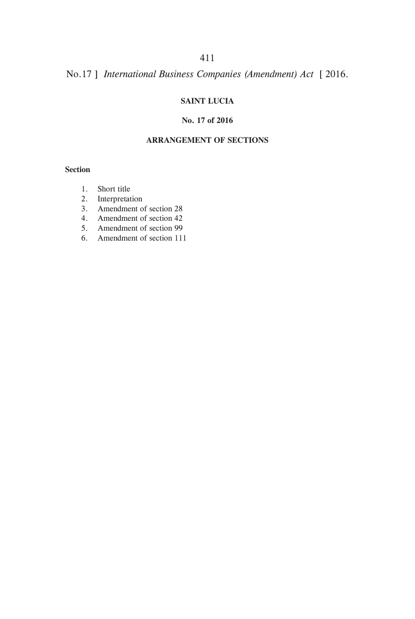# **SAINT LUCIA**

#### **No. 17 of 2016**

### **ARRANGEMENT OF SECTIONS**

#### **Section**

- 1. Short title
- 2. Interpretation
- 3. Amendment of section 28
- 4. Amendment of section 42
- 5. Amendment of section 99
- 6. Amendment of section 111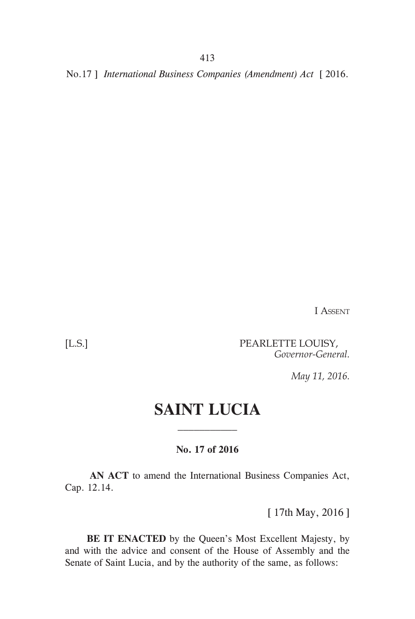I Assent

[L.S.] PEARLETTE LOUISY, *Governor-General.*

*May 11, 2016.*

# **SAINT LUCIA**

## **No. 17 of 2016**

**AN ACT** to amend the International Business Companies Act, Cap. 12.14.

[ 17th May, 2016 ]

 **BE IT ENACTED** by the Queen's Most Excellent Majesty, by and with the advice and consent of the House of Assembly and the Senate of Saint Lucia, and by the authority of the same, as follows: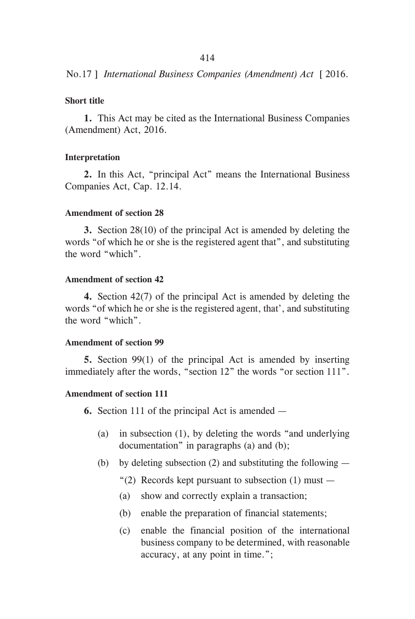## **Short title**

**1.** This Act may be cited as the International Business Companies (Amendment) Act, 2016.

## **Interpretation**

**2.** In this Act, "principal Act" means the International Business Companies Act, Cap. 12.14.

## **Amendment of section 28**

**3.** Section 28(10) of the principal Act is amended by deleting the words "of which he or she is the registered agent that", and substituting the word "which".

#### **Amendment of section 42**

**4.** Section 42(7) of the principal Act is amended by deleting the words "of which he or she is the registered agent, that', and substituting the word "which".

#### **Amendment of section 99**

**5.** Section 99(1) of the principal Act is amended by inserting immediately after the words, "section 12" the words "or section 111".

# **Amendment of section 111**

**6.** Section 111 of the principal Act is amended —

- (a) in subsection (1), by deleting the words "and underlying documentation" in paragraphs (a) and (b);
- (b) by deleting subsection (2) and substituting the following  $-$ 
	- "(2) Records kept pursuant to subsection  $(1)$  must —
	- (a) show and correctly explain a transaction;
	- (b) enable the preparation of financial statements;
	- (c) enable the financial position of the international business company to be determined, with reasonable accuracy, at any point in time.";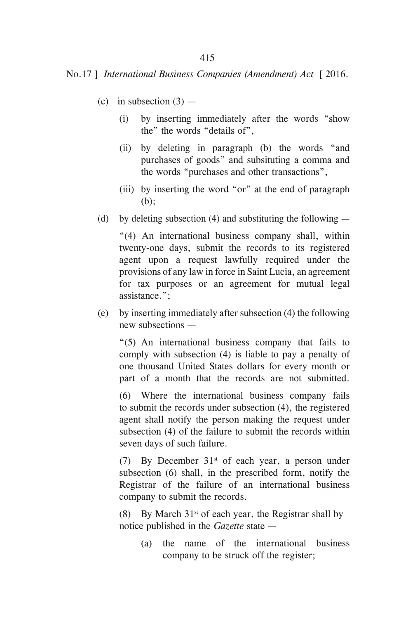- (c) in subsection  $(3)$ 
	- (i) by inserting immediately after the words "show the" the words "details of",
	- (ii) by deleting in paragraph (b) the words "and purchases of goods" and subsituting a comma and the words "purchases and other transactions",
	- (iii) by inserting the word "or" at the end of paragraph (b);
- (d) by deleting subsection (4) and substituting the following  $-$

"(4) An international business company shall, within twenty-one days, submit the records to its registered agent upon a request lawfully required under the provisions of any law in force in Saint Lucia, an agreement for tax purposes or an agreement for mutual legal assistance.";

(e) by inserting immediately after subsection (4) the following new subsections —

"(5) An international business company that fails to comply with subsection (4) is liable to pay a penalty of one thousand United States dollars for every month or part of a month that the records are not submitted.

(6) Where the international business company fails to submit the records under subsection (4), the registered agent shall notify the person making the request under subsection (4) of the failure to submit the records within seven days of such failure.

(7) By December  $31<sup>st</sup>$  of each year, a person under subsection (6) shall, in the prescribed form, notify the Registrar of the failure of an international business company to submit the records.

(8) By March  $31<sup>st</sup>$  of each year, the Registrar shall by notice published in the *Gazette* state —

(a) the name of the international business company to be struck off the register;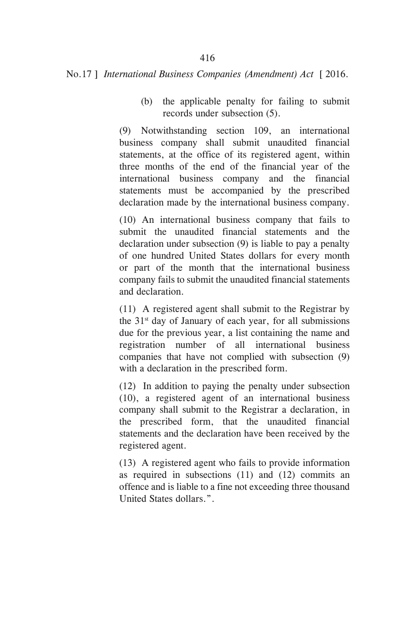(b) the applicable penalty for failing to submit records under subsection (5).

(9) Notwithstanding section 109, an international business company shall submit unaudited financial statements, at the office of its registered agent, within three months of the end of the financial year of the international business company and the financial statements must be accompanied by the prescribed declaration made by the international business company.

(10) An international business company that fails to submit the unaudited financial statements and the declaration under subsection (9) is liable to pay a penalty of one hundred United States dollars for every month or part of the month that the international business company fails to submit the unaudited financial statements and declaration.

(11) A registered agent shall submit to the Registrar by the  $31<sup>st</sup>$  day of January of each year, for all submissions due for the previous year, a list containing the name and registration number of all international business companies that have not complied with subsection (9) with a declaration in the prescribed form.

(12) In addition to paying the penalty under subsection (10), a registered agent of an international business company shall submit to the Registrar a declaration, in the prescribed form, that the unaudited financial statements and the declaration have been received by the registered agent.

(13) A registered agent who fails to provide information as required in subsections (11) and (12) commits an offence and is liable to a fine not exceeding three thousand United States dollars.".